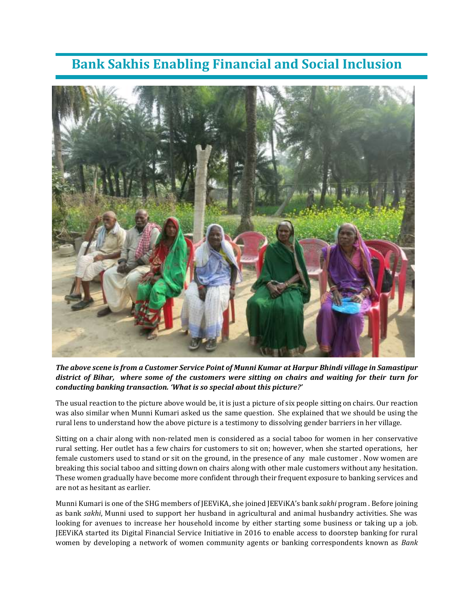## **Bank Sakhis Enabling Financial and Social Inclusion**



*The above scene is from a Customer Service Point of Munni Kumar at Harpur Bhindi village in Samastipur district of Bihar, where some of the customers were sitting on chairs and waiting for their turn for conducting banking transaction. 'What is so special about this picture?'*

The usual reaction to the picture above would be, it is just a picture of six people sitting on chairs. Our reaction was also similar when Munni Kumari asked us the same question. She explained that we should be using the rural lens to understand how the above picture is a testimony to dissolving gender barriers in her village.

Sitting on a chair along with non-related men is considered as a social taboo for women in her conservative rural setting. Her outlet has a few chairs for customers to sit on; however, when she started operations, her female customers used to stand or sit on the ground, in the presence of any male customer . Now women are breaking this social taboo and sitting down on chairs along with other male customers without any hesitation. These women gradually have become more confident through their frequent exposure to banking services and are not as hesitant as earlier.

Munni Kumari is one of the SHG members of JEEViKA, she joined JEEViKA's bank *sakhi* program . Before joining as bank *sakhi*, Munni used to support her husband in agricultural and animal husbandry activities. She was looking for avenues to increase her household income by either starting some business or taking up a job. JEEViKA started its Digital Financial Service Initiative in 2016 to enable access to doorstep banking for rural women by developing a network of women community agents or banking correspondents known as *Bank*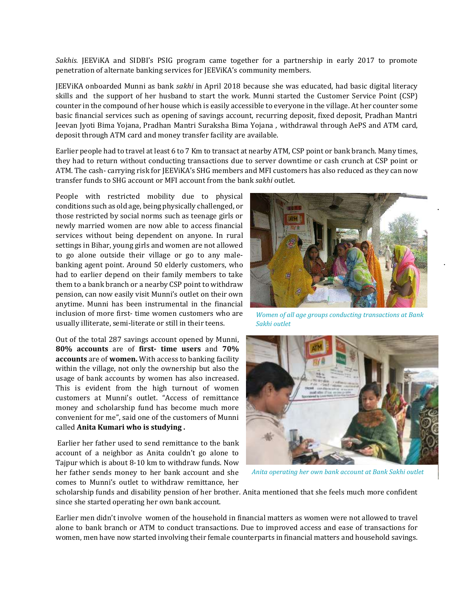*Sakhis.* JEEViKA and SIDBI's PSIG program came together for a partnership in early 2017 to promote penetration of alternate banking services for JEEViKA's community members.

JEEViKA onboarded Munni as bank *sakhi* in April 2018 because she was educated, had basic digital literacy skills and the support of her husband to start the work. Munni started the Customer Service Point (CSP) counter in the compound of her house which is easily accessible to everyone in the village. At her counter some basic financial services such as opening of savings account, recurring deposit, fixed deposit, Pradhan Mantri Jeevan Jyoti Bima Yojana, Pradhan Mantri Suraksha Bima Yojana , withdrawal through AePS and ATM card, deposit through ATM card and money transfer facility are available.

Earlier people had to travel at least 6 to 7 Km to transact at nearby ATM, CSP point or bank branch. Many times, they had to return without conducting transactions due to server downtime or cash crunch at CSP point or ATM. The cash- carrying risk for JEEViKA's SHG members and MFI customers has also reduced as they can now transfer funds to SHG account or MFI account from the bank *sakhi* outlet.

People with restricted mobility due to physical conditions such as old age, being physically challenged, or those restricted by social norms such as teenage girls or newly married women are now able to access financial services without being dependent on anyone. In rural settings in Bihar, young girls and women are not allowed to go alone outside their village or go to any malebanking agent point. Around 50 elderly customers, who had to earlier depend on their family members to take them to a bank branch or a nearby CSP point to withdraw pension, can now easily visit Munni's outlet on their own anytime. Munni has been instrumental in the financial inclusion of more first- time women customers who are usually illiterate, semi-literate or still in their teens.

Out of the total 287 savings account opened by Munni, **80% accounts** are of **first- time users** and **70% accounts** are of **women.** With access to banking facility within the village, not only the ownership but also the usage of bank accounts by women has also increased. This is evident from the high turnout of women customers at Munni's outlet. "Access of remittance money and scholarship fund has become much more convenient for me", said one of the customers of Munni called **Anita Kumari who is studying .**

Earlier her father used to send remittance to the bank account of a neighbor as Anita couldn't go alone to Tajpur which is about 8-10 km to withdraw funds. Now her father sends money to her bank account and she comes to Munni's outlet to withdraw remittance, her



*Women of all age groups conducting transactions at Bank Sakhi outlet*



*Anita operating her own bank account at Bank Sakhi outlet*

scholarship funds and disability pension of her brother. Anita mentioned that she feels much more confident since she started operating her own bank account.

Earlier men didn't involve women of the household in financial matters as women were not allowed to travel alone to bank branch or ATM to conduct transactions. Due to improved access and ease of transactions for women, men have now started involving their female counterparts in financial matters and household savings.